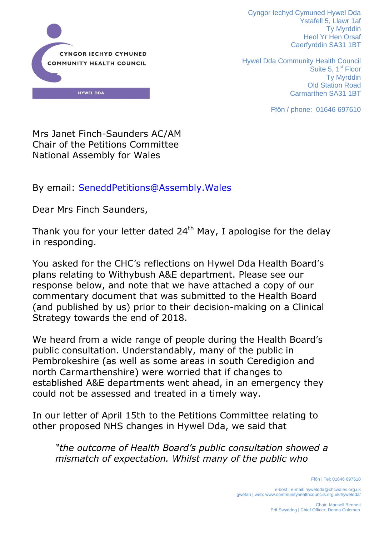

Cyngor Iechyd Cymuned Hywel Dda Ystafell 5, Llawr 1af Ty Myrddin Heol Yr Hen Orsaf Caerfyrddin SA31 1BT

Hywel Dda Community Health Council Suite 5, 1<sup>st</sup> Floor Ty Myrddin Old Station Road Carmarthen SA31 1BT

Ffôn / phone: 01646 697610

Mrs Janet Finch-Saunders AC/AM Chair of the Petitions Committee National Assembly for Wales

By email: [SeneddPetitions@Assembly.Wales](mailto:SeneddPetitions@Assembly.Wales)

Dear Mrs Finch Saunders,

Thank you for your letter dated  $24<sup>th</sup>$  May, I apologise for the delay in responding.

You asked for the CHC's reflections on Hywel Dda Health Board's plans relating to Withybush A&E department. Please see our response below, and note that we have attached a copy of our commentary document that was submitted to the Health Board (and published by us) prior to their decision-making on a Clinical Strategy towards the end of 2018.

We heard from a wide range of people during the Health Board's public consultation. Understandably, many of the public in Pembrokeshire (as well as some areas in south Ceredigion and north Carmarthenshire) were worried that if changes to established A&E departments went ahead, in an emergency they could not be assessed and treated in a timely way.

In our letter of April 15th to the Petitions Committee relating to other proposed NHS changes in Hywel Dda, we said that

*"the outcome of Health Board's public consultation showed a mismatch of expectation. Whilst many of the public who* 

Ffôn | Tel: 01646 697610

e-bost | e-mail: hyweldda@chcwales.org.uk gwefan | web: www.communityhealthcouncils.org.uk/hyweldda/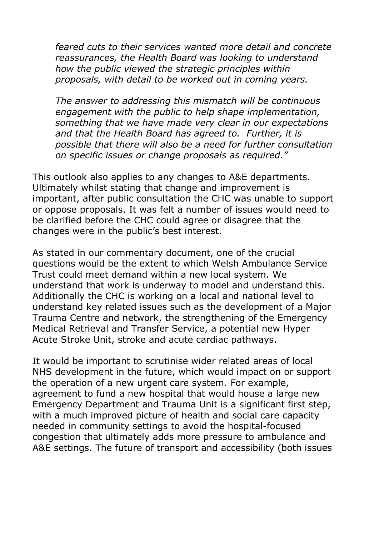*feared cuts to their services wanted more detail and concrete reassurances, the Health Board was looking to understand how the public viewed the strategic principles within proposals, with detail to be worked out in coming years.* 

*The answer to addressing this mismatch will be continuous engagement with the public to help shape implementation, something that we have made very clear in our expectations and that the Health Board has agreed to. Further, it is possible that there will also be a need for further consultation on specific issues or change proposals as required."*

This outlook also applies to any changes to A&E departments. Ultimately whilst stating that change and improvement is important, after public consultation the CHC was unable to support or oppose proposals. It was felt a number of issues would need to be clarified before the CHC could agree or disagree that the changes were in the public's best interest.

As stated in our commentary document, one of the crucial questions would be the extent to which Welsh Ambulance Service Trust could meet demand within a new local system. We understand that work is underway to model and understand this. Additionally the CHC is working on a local and national level to understand key related issues such as the development of a Major Trauma Centre and network, the strengthening of the Emergency Medical Retrieval and Transfer Service, a potential new Hyper Acute Stroke Unit, stroke and acute cardiac pathways.

It would be important to scrutinise wider related areas of local NHS development in the future, which would impact on or support the operation of a new urgent care system. For example, agreement to fund a new hospital that would house a large new Emergency Department and Trauma Unit is a significant first step, with a much improved picture of health and social care capacity needed in community settings to avoid the hospital-focused congestion that ultimately adds more pressure to ambulance and A&E settings. The future of transport and accessibility (both issues